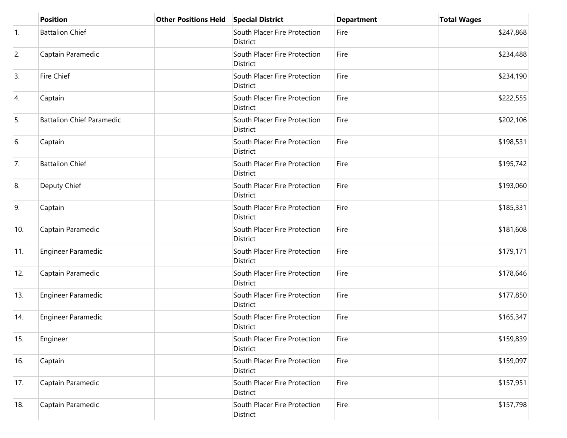|     | <b>Position</b>                  | <b>Other Positions Held</b> | <b>Special District</b>                  | <b>Department</b> | <b>Total Wages</b> |
|-----|----------------------------------|-----------------------------|------------------------------------------|-------------------|--------------------|
| 1.  | <b>Battalion Chief</b>           |                             | South Placer Fire Protection<br>District | Fire              | \$247,868          |
| 2.  | Captain Paramedic                |                             | South Placer Fire Protection<br>District | Fire              | \$234,488          |
| 3.  | Fire Chief                       |                             | South Placer Fire Protection<br>District | Fire              | \$234,190          |
| 4.  | Captain                          |                             | South Placer Fire Protection<br>District | Fire              | \$222,555          |
| 5.  | <b>Battalion Chief Paramedic</b> |                             | South Placer Fire Protection<br>District | Fire              | \$202,106          |
| 6.  | Captain                          |                             | South Placer Fire Protection<br>District | Fire              | \$198,531          |
| 7.  | <b>Battalion Chief</b>           |                             | South Placer Fire Protection<br>District | Fire              | \$195,742          |
| 8.  | Deputy Chief                     |                             | South Placer Fire Protection<br>District | Fire              | \$193,060          |
| 9.  | Captain                          |                             | South Placer Fire Protection<br>District | Fire              | \$185,331          |
| 10. | Captain Paramedic                |                             | South Placer Fire Protection<br>District | Fire              | \$181,608          |
| 11. | Engineer Paramedic               |                             | South Placer Fire Protection<br>District | Fire              | \$179,171          |
| 12. | Captain Paramedic                |                             | South Placer Fire Protection<br>District | Fire              | \$178,646          |
| 13. | Engineer Paramedic               |                             | South Placer Fire Protection<br>District | Fire              | \$177,850          |
| 14. | Engineer Paramedic               |                             | South Placer Fire Protection<br>District | Fire              | \$165,347          |
| 15. | Engineer                         |                             | South Placer Fire Protection<br>District | Fire              | \$159,839          |
| 16. | Captain                          |                             | South Placer Fire Protection<br>District | Fire              | \$159,097          |
| 17. | Captain Paramedic                |                             | South Placer Fire Protection<br>District | Fire              | \$157,951          |
| 18. | Captain Paramedic                |                             | South Placer Fire Protection<br>District | Fire              | \$157,798          |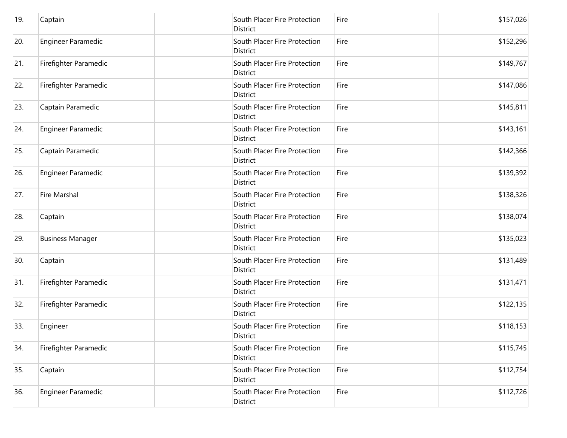| 19. | Captain                   | South Placer Fire Protection<br>District        | Fire | \$157,026 |
|-----|---------------------------|-------------------------------------------------|------|-----------|
| 20. | <b>Engineer Paramedic</b> | South Placer Fire Protection<br>District        | Fire | \$152,296 |
| 21. | Firefighter Paramedic     | South Placer Fire Protection<br>District        | Fire | \$149,767 |
| 22. | Firefighter Paramedic     | South Placer Fire Protection<br>District        | Fire | \$147,086 |
| 23. | Captain Paramedic         | South Placer Fire Protection<br>District        | Fire | \$145,811 |
| 24. | <b>Engineer Paramedic</b> | South Placer Fire Protection<br>District        | Fire | \$143,161 |
| 25. | Captain Paramedic         | South Placer Fire Protection<br>District        | Fire | \$142,366 |
| 26. | <b>Engineer Paramedic</b> | South Placer Fire Protection<br>District        | Fire | \$139,392 |
| 27. | <b>Fire Marshal</b>       | South Placer Fire Protection<br>District        | Fire | \$138,326 |
| 28. | Captain                   | South Placer Fire Protection<br>District        | Fire | \$138,074 |
| 29. | <b>Business Manager</b>   | South Placer Fire Protection<br>District        | Fire | \$135,023 |
| 30. | Captain                   | South Placer Fire Protection<br><b>District</b> | Fire | \$131,489 |
| 31. | Firefighter Paramedic     | South Placer Fire Protection<br><b>District</b> | Fire | \$131,471 |
| 32. | Firefighter Paramedic     | South Placer Fire Protection<br><b>District</b> | Fire | \$122,135 |
| 33. | Engineer                  | South Placer Fire Protection<br>District        | Fire | \$118,153 |
| 34. | Firefighter Paramedic     | South Placer Fire Protection<br>District        | Fire | \$115,745 |
| 35. | Captain                   | South Placer Fire Protection<br><b>District</b> | Fire | \$112,754 |
| 36. | <b>Engineer Paramedic</b> | South Placer Fire Protection<br>District        | Fire | \$112,726 |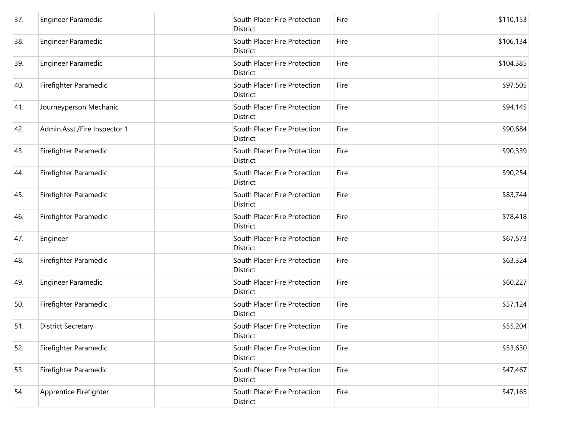| 37. | <b>Engineer Paramedic</b>    | South Placer Fire Protection<br>District | Fire | \$110,153 |
|-----|------------------------------|------------------------------------------|------|-----------|
| 38. | Engineer Paramedic           | South Placer Fire Protection<br>District | Fire | \$106,134 |
| 39. | Engineer Paramedic           | South Placer Fire Protection<br>District | Fire | \$104,385 |
| 40. | Firefighter Paramedic        | South Placer Fire Protection<br>District | Fire | \$97,505  |
| 41. | Journeyperson Mechanic       | South Placer Fire Protection<br>District | Fire | \$94,145  |
| 42. | Admin.Asst./Fire Inspector 1 | South Placer Fire Protection<br>District | Fire | \$90,684  |
| 43. | Firefighter Paramedic        | South Placer Fire Protection<br>District | Fire | \$90,339  |
| 44. | Firefighter Paramedic        | South Placer Fire Protection<br>District | Fire | \$90,254  |
| 45. | Firefighter Paramedic        | South Placer Fire Protection<br>District | Fire | \$83,744  |
| 46. | Firefighter Paramedic        | South Placer Fire Protection<br>District | Fire | \$78,418  |
| 47. | Engineer                     | South Placer Fire Protection<br>District | Fire | \$67,573  |
| 48. | Firefighter Paramedic        | South Placer Fire Protection<br>District | Fire | \$63,324  |
| 49. | Engineer Paramedic           | South Placer Fire Protection<br>District | Fire | \$60,227  |
| 50. | Firefighter Paramedic        | South Placer Fire Protection<br>District | Fire | \$57,124  |
| 51. | <b>District Secretary</b>    | South Placer Fire Protection<br>District | Fire | \$55,204  |
| 52. | Firefighter Paramedic        | South Placer Fire Protection<br>District | Fire | \$53,630  |
| 53. | Firefighter Paramedic        | South Placer Fire Protection<br>District | Fire | \$47,467  |
| 54. | Apprentice Firefighter       | South Placer Fire Protection<br>District | Fire | \$47,165  |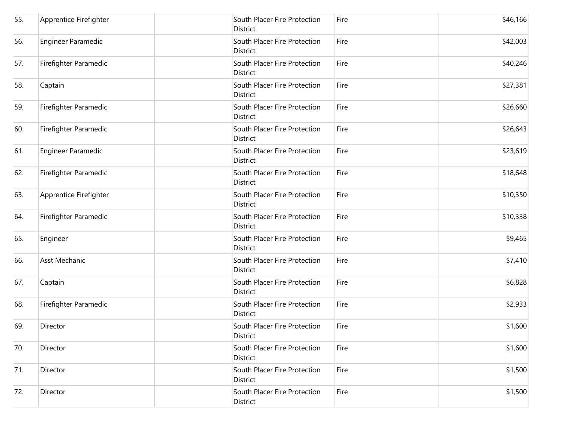| 55. | Apprentice Firefighter | South Placer Fire Protection<br>District | Fire | \$46,166 |
|-----|------------------------|------------------------------------------|------|----------|
| 56. | Engineer Paramedic     | South Placer Fire Protection<br>District | Fire | \$42,003 |
| 57. | Firefighter Paramedic  | South Placer Fire Protection<br>District | Fire | \$40,246 |
| 58. | Captain                | South Placer Fire Protection<br>District | Fire | \$27,381 |
| 59. | Firefighter Paramedic  | South Placer Fire Protection<br>District | Fire | \$26,660 |
| 60. | Firefighter Paramedic  | South Placer Fire Protection<br>District | Fire | \$26,643 |
| 61. | Engineer Paramedic     | South Placer Fire Protection<br>District | Fire | \$23,619 |
| 62. | Firefighter Paramedic  | South Placer Fire Protection<br>District | Fire | \$18,648 |
| 63. | Apprentice Firefighter | South Placer Fire Protection<br>District | Fire | \$10,350 |
| 64. | Firefighter Paramedic  | South Placer Fire Protection<br>District | Fire | \$10,338 |
| 65. | Engineer               | South Placer Fire Protection<br>District | Fire | \$9,465  |
| 66. | Asst Mechanic          | South Placer Fire Protection<br>District | Fire | \$7,410  |
| 67. | Captain                | South Placer Fire Protection<br>District | Fire | \$6,828  |
| 68. | Firefighter Paramedic  | South Placer Fire Protection<br>District | Fire | \$2,933  |
| 69. | Director               | South Placer Fire Protection<br>District | Fire | \$1,600  |
| 70. | Director               | South Placer Fire Protection<br>District | Fire | \$1,600  |
| 71. | Director               | South Placer Fire Protection<br>District | Fire | \$1,500  |
| 72. | Director               | South Placer Fire Protection<br>District | Fire | \$1,500  |